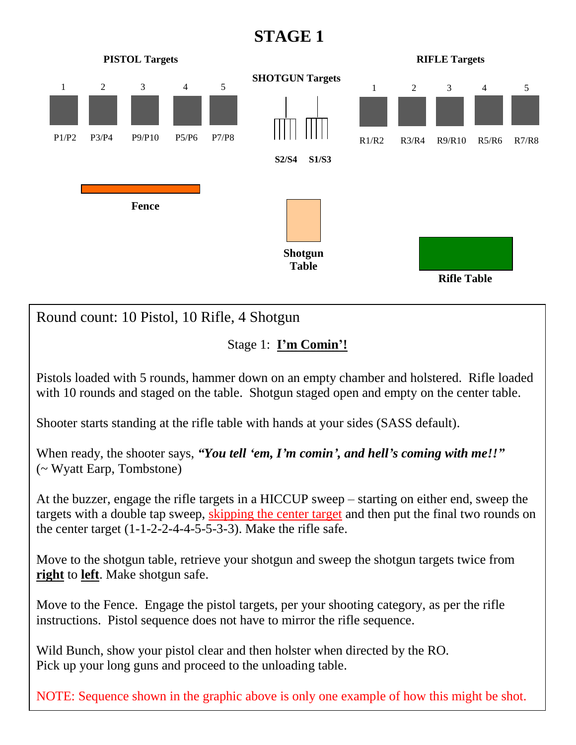## **STAGE 1**



Move to the shotgun table, retrieve your shotgun and sweep the shotgun targets twice from **right** to **left**. Make shotgun safe.

Move to the Fence. Engage the pistol targets, per your shooting category, as per the rifle instructions. Pistol sequence does not have to mirror the rifle sequence.

Wild Bunch, show your pistol clear and then holster when directed by the RO. Pick up your long guns and proceed to the unloading table.

NOTE: Sequence shown in the graphic above is only one example of how this might be shot.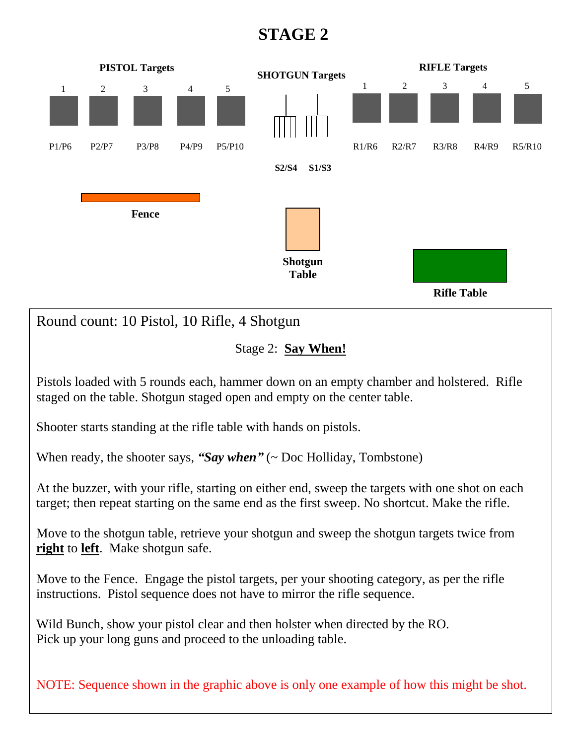## **STAGE 2**



Move to the Fence. Engage the pistol targets, per your shooting category, as per the rifle instructions. Pistol sequence does not have to mirror the rifle sequence.

Wild Bunch, show your pistol clear and then holster when directed by the RO. Pick up your long guns and proceed to the unloading table.

NOTE: Sequence shown in the graphic above is only one example of how this might be shot.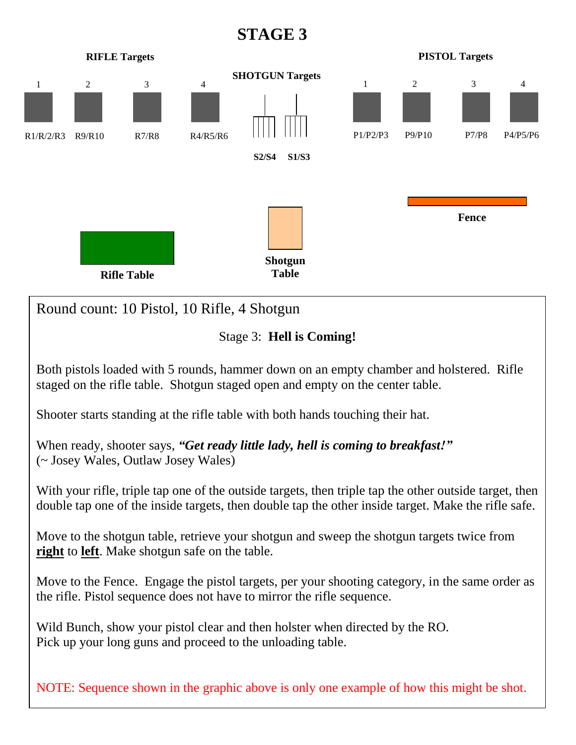